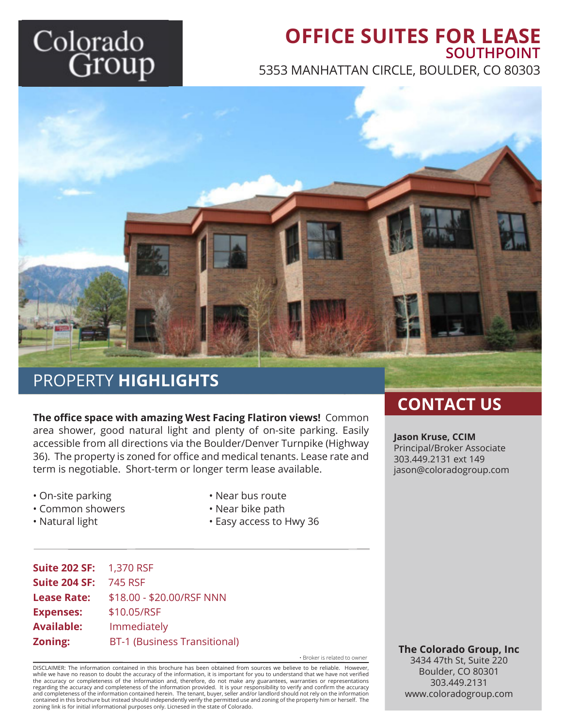# Colorado Group

# **OFFICE SUITES FOR LEASE SOUTHPOINT**

5353 MANHATTAN CIRCLE, BOULDER, CO 80303



### PROPERTY **HIGHLIGHTS**

**The office space with amazing West Facing Flatiron views!** Common area shower, good natural light and plenty of on-site parking. Easily accessible from all directions via the Boulder/Denver Turnpike (Highway 36). The property is zoned for office and medical tenants. Lease rate and term is negotiable. Short-term or longer term lease available.

- On-site parking
- Common showers
- Natural light
- Near bus route
- Near bike path
- Easy access to Hwy 36

| <b>Suite 202 SF: 1,370 RSF</b> |                                     |
|--------------------------------|-------------------------------------|
| <b>Suite 204 SF:</b>           | 745 RSF                             |
| <b>Lease Rate:</b>             | \$18.00 - \$20.00/RSF NNN           |
| <b>Expenses:</b>               | \$10.05/RSF                         |
| <b>Available:</b>              | Immediately                         |
| Zoning:                        | <b>BT-1 (Business Transitional)</b> |

• Broker is related to owner

DISCLAIMER: The information contained in this brochure has been obtained from sources we believe to be reliable. However, while we have no reason to doubt the accuracy of the information, it is important for you to understand that we have not verified<br>the accuracy or completeness of the information and, therefore, do not make any guarantees, regarding the accuracy and completeness of the information provided. It is your responsibility to verify and confirm the accuracy<br>and completeness of the information contained herein. The tenant, buyer, seller and/or lan contained in this brochure but instead should independently verify the permitted use and zoning of the property him or herself. The zoning link is for initial informational purposes only. Licnesed in the state of Colorado.

### **CONTACT US**

**Jason Kruse, CCIM** Principal/Broker Associate 303.449.2131 ext 149 jason@coloradogroup.com

**The Colorado Group, Inc** 3434 47th St, Suite 220

Boulder, CO 80301 303.449.2131 www.coloradogroup.com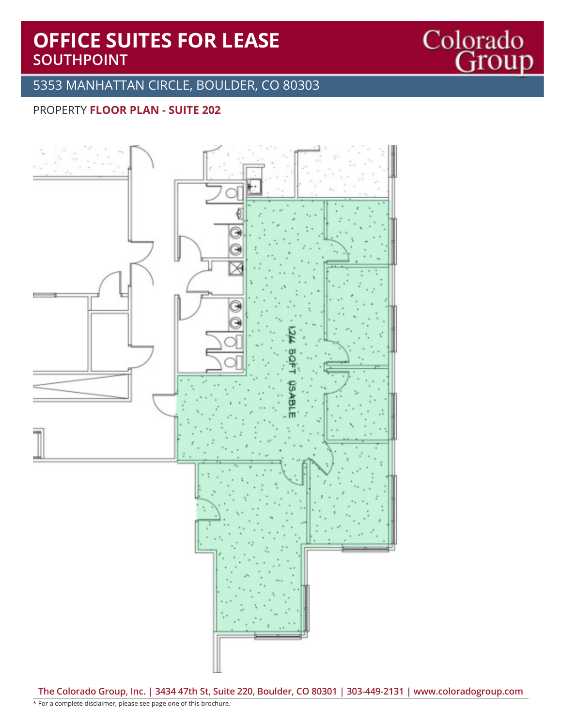# **OFFICE SUITES FOR LEASE SOUTHPOINT**

#### 5353 MANHATTAN CIRCLE, BOULDER, CO 80303

Colorado<br>Group

#### PROPERTY **FLOOR PLAN - SUITE 202**



**The Colorado Group, Inc. | 3434 47th St, Suite 220, Boulder, CO 80301 | 303-449-2131 | www.coloradogroup.com**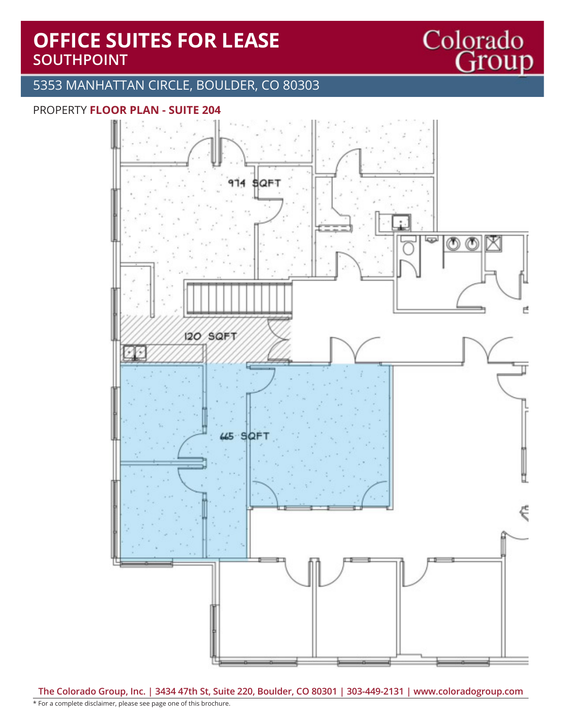# **OFFICE SUITES FOR LEASE SOUTHPOINT**

#### 5353 MANHATTAN CIRCLE, BOULDER, CO 80303

#### PROPERTY **FLOOR PLAN - SUITE 204**



Colorado<br>Group

**The Colorado Group, Inc. | 3434 47th St, Suite 220, Boulder, CO 80301 | 303-449-2131 | www.coloradogroup.com**